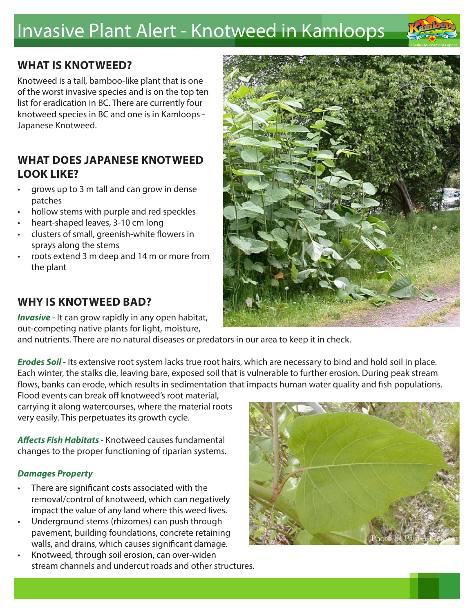# Invasive Plant Alert - Knotweed in Kamloops



# **WHAT IS KNOTWEED?**

Knotweed is a tall, bamboo-like plant that is one of the worst invasive species and is on the top ten list for eradication in BC. There are currently four knotweed species in BC and one is in Kamloops - Japanese Knotweed.

## **WHAT DOES JAPANESE KNOTWEED LOOK LIKE?**

- grows up to 3 m tall and can grow in dense patches
- hollow stems with purple and red speckles
- heart-shaped leaves, 3-10 cm long
- clusters of small, greenish-white flowers in sprays along the stems
- roots extend 3 m deep and 14 m or more from the plant



## **WHY IS KNOTWEED BAD?**

*Invasive* - It can grow rapidly in any open habitat, out-competing native plants for light, moisture,

and nutrients. There are no natural diseases or predators in our area to keep it in check.

*Erodes Soil* - Its extensive root system lacks true root hairs, which are necessary to bind and hold soil in place. Each winter, the stalks die, leaving bare, exposed soil that is vulnerable to further erosion. During peak stream flows, banks can erode, which results in sedimentation that impacts human water quality and fish populations.

Flood events can break off knotweed's root material, carrying it along watercourses, where the material roots very easily. This perpetuates its growth cycle.

*Affects Fish Habitats* - Knotweed causes fundamental changes to the proper functioning of riparian systems.

#### *Damages Property*

- There are significant costs associated with the removal/control of knotweed, which can negatively impact the value of any land where this weed lives.
- Underground stems (rhizomes) can push through pavement, building foundations, concrete retaining walls, and drains, which causes significant damage.
- Knotweed, through soil erosion, can over-widen stream channels and undercut roads and other structures.